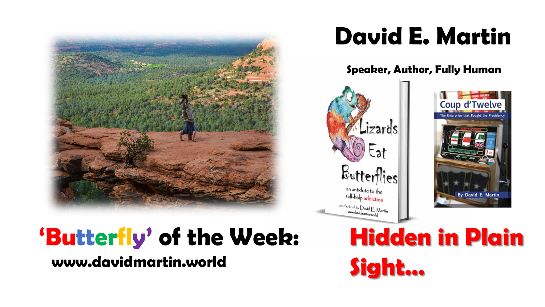

## **David E. Martin**

**Speaker, Author, Fully Human**





## **www.davidmartin.world 'Butterfly' of the Week: Hidden in Plain**

**Sight…**